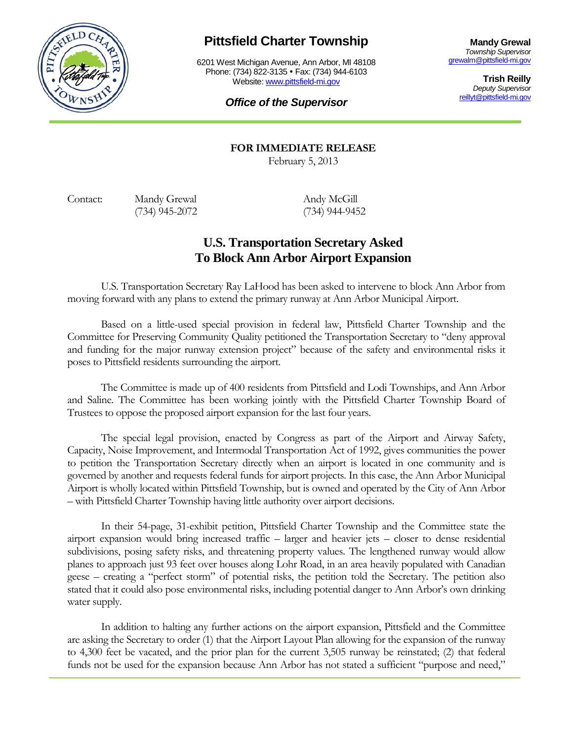

## **Pittsfield Charter Township**

6201 West Michigan Avenue, Ann Arbor, MI 48108 Phone: (734) 822-3135 • Fax: (734) 944-6103 Website: [www.pittsfield-mi.gov](http://www.pittsfield-mi.gov/)

**Mandy Grewal** *Township Supervisor* [grewalm@pittsfield-mi.gov](mailto:grewalm@pittsfield-mi.gov)

> **Trish Reilly** *Deputy Supervisor* [reillyt@pittsfield-mi.gov](mailto:reillyt@pittsfield-mi.gov)

## *Office of the Supervisor*

**FOR IMMEDIATE RELEASE**

February 5, 2013

Contact: Mandy Grewal Andy McGill (734) 945-2072 (734) 944-9452

## **U.S. Transportation Secretary Asked To Block Ann Arbor Airport Expansion**

U.S. Transportation Secretary Ray LaHood has been asked to intervene to block Ann Arbor from moving forward with any plans to extend the primary runway at Ann Arbor Municipal Airport.

Based on a little-used special provision in federal law, Pittsfield Charter Township and the Committee for Preserving Community Quality petitioned the Transportation Secretary to "deny approval and funding for the major runway extension project" because of the safety and environmental risks it poses to Pittsfield residents surrounding the airport.

The Committee is made up of 400 residents from Pittsfield and Lodi Townships, and Ann Arbor and Saline. The Committee has been working jointly with the Pittsfield Charter Township Board of Trustees to oppose the proposed airport expansion for the last four years.

The special legal provision, enacted by Congress as part of the Airport and Airway Safety, Capacity, Noise Improvement, and Intermodal Transportation Act of 1992, gives communities the power to petition the Transportation Secretary directly when an airport is located in one community and is governed by another and requests federal funds for airport projects. In this case, the Ann Arbor Municipal Airport is wholly located within Pittsfield Township, but is owned and operated by the City of Ann Arbor – with Pittsfield Charter Township having little authority over airport decisions.

In their 54-page, 31-exhibit petition, Pittsfield Charter Township and the Committee state the airport expansion would bring increased traffic – larger and heavier jets – closer to dense residential subdivisions, posing safety risks, and threatening property values. The lengthened runway would allow planes to approach just 93 feet over houses along Lohr Road, in an area heavily populated with Canadian geese – creating a "perfect storm" of potential risks, the petition told the Secretary. The petition also stated that it could also pose environmental risks, including potential danger to Ann Arbor's own drinking water supply.

In addition to halting any further actions on the airport expansion, Pittsfield and the Committee are asking the Secretary to order (1) that the Airport Layout Plan allowing for the expansion of the runway to 4,300 feet be vacated, and the prior plan for the current 3,505 runway be reinstated; (2) that federal funds not be used for the expansion because Ann Arbor has not stated a sufficient "purpose and need,"